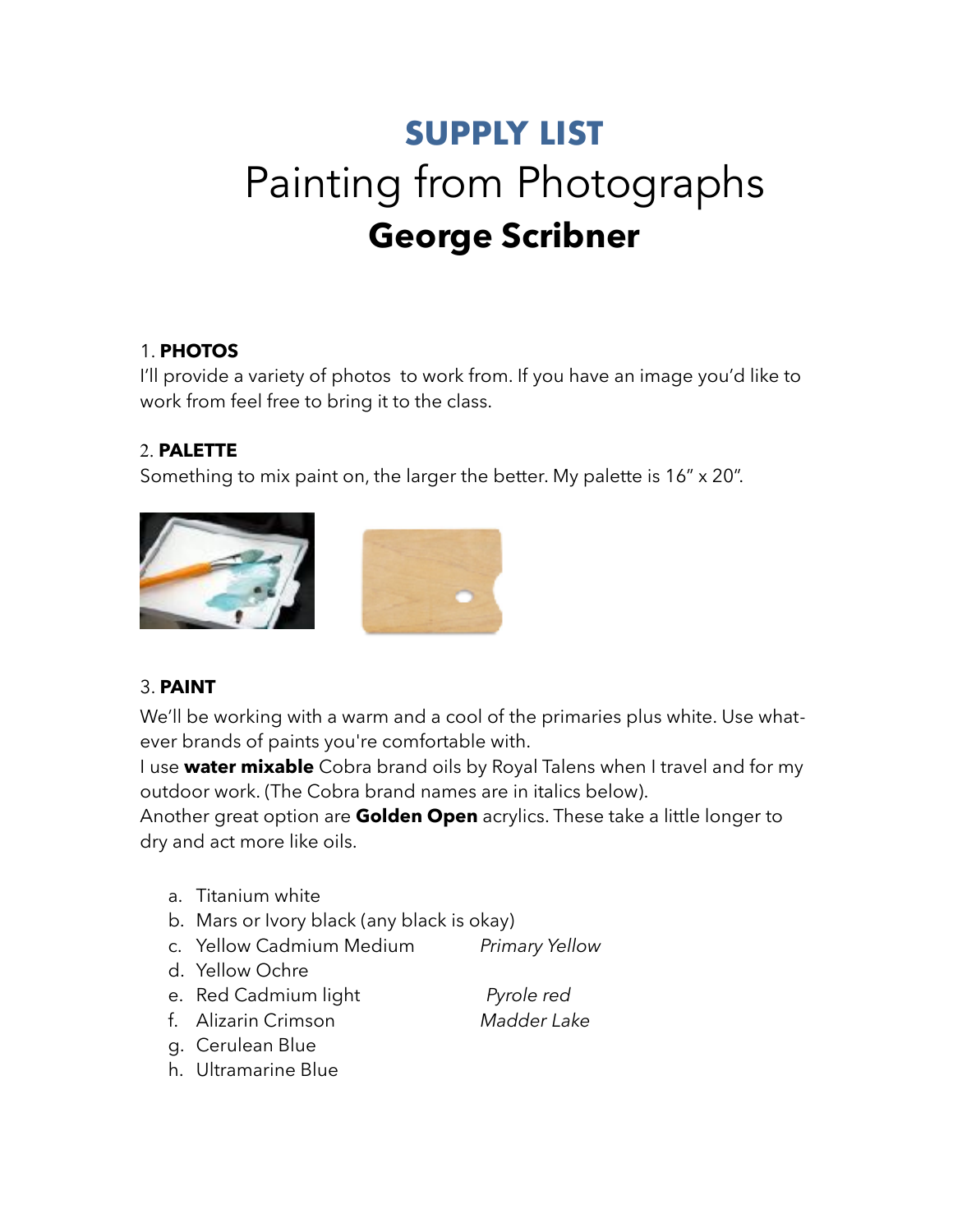# **SUPPLY LIST**  Painting from Photographs **George Scribner**

#### 1. **PHOTOS**

I'll provide a variety of photos to work from. If you have an image you'd like to work from feel free to bring it to the class.

## 2. **PALETTE**

Something to mix paint on, the larger the better. My palette is 16" x 20".



## 3. **PAINT**

We'll be working with a warm and a cool of the primaries plus white. Use whatever brands of paints you're comfortable with.

I use **water mixable** Cobra brand oils by Royal Talens when I travel and for my outdoor work. (The Cobra brand names are in italics below).

Another great option are **Golden Open** acrylics. These take a little longer to dry and act more like oils.

- a. Titanium white
- b. Mars or Ivory black (any black is okay)
- c. Yellow Cadmium Medium *Primary Yellow*
- d. Yellow Ochre
- e. Red Cadmium light *Pyrole red*
- f. Alizarin Crimson *Madder Lake*
- g. Cerulean Blue
- h. Ultramarine Blue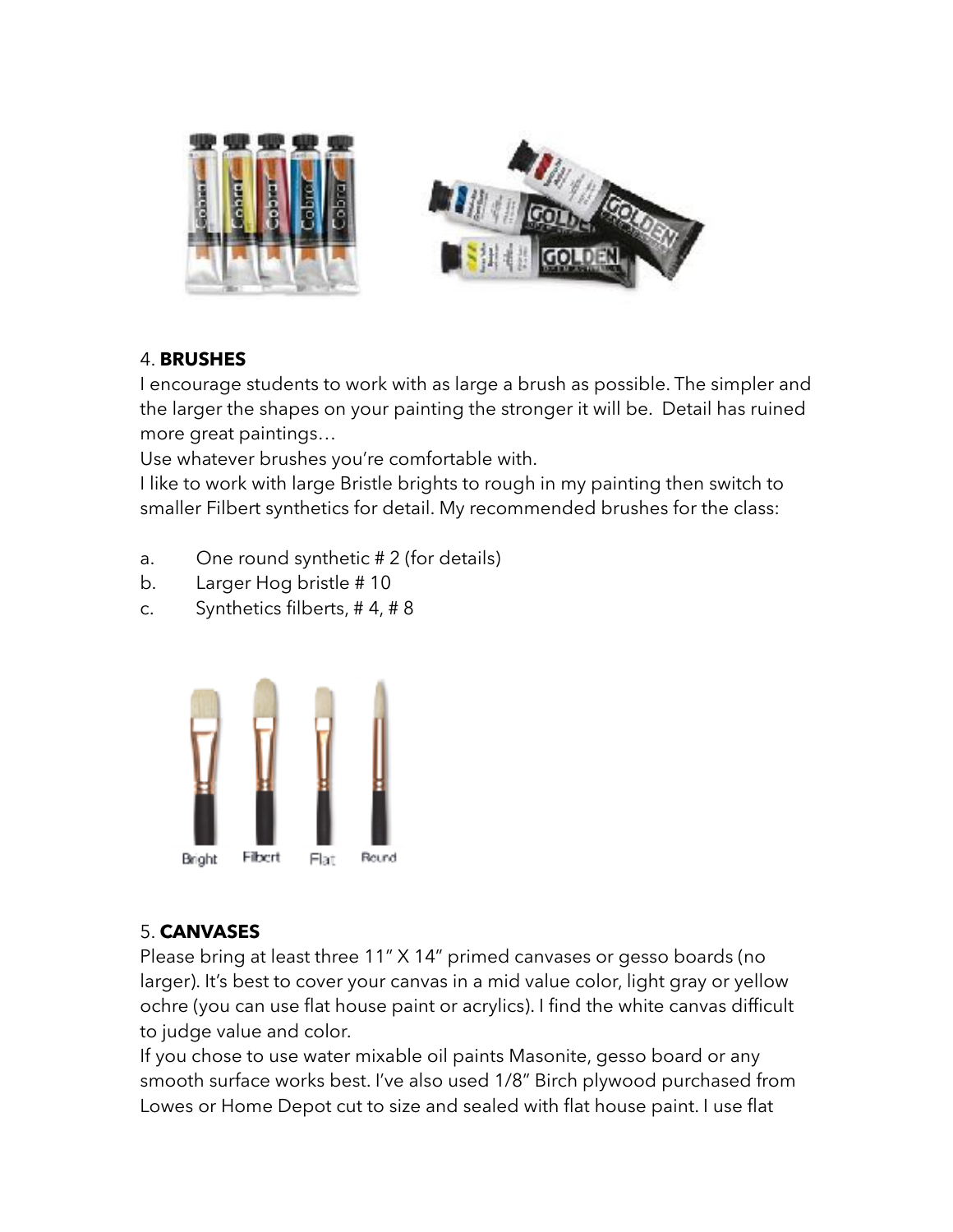

#### 4. **BRUSHES**

I encourage students to work with as large a brush as possible. The simpler and the larger the shapes on your painting the stronger it will be. Detail has ruined more great paintings…

Use whatever brushes you're comfortable with.

I like to work with large Bristle brights to rough in my painting then switch to smaller Filbert synthetics for detail. My recommended brushes for the class:

- a. One round synthetic # 2 (for details)
- b. Larger Hog bristle # 10
- c. Synthetics filberts, # 4, # 8



## 5. **CANVASES**

Please bring at least three 11" X 14" primed canvases or gesso boards (no larger). It's best to cover your canvas in a mid value color, light gray or yellow ochre (you can use flat house paint or acrylics). I find the white canvas difficult to judge value and color.

If you chose to use water mixable oil paints Masonite, gesso board or any smooth surface works best. I've also used 1/8" Birch plywood purchased from Lowes or Home Depot cut to size and sealed with flat house paint. I use flat